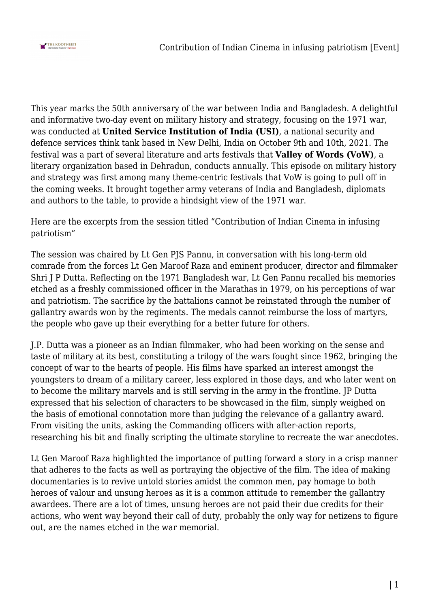

This year marks the 50th anniversary of the war between India and Bangladesh. A delightful and informative two-day event on military history and strategy, focusing on the 1971 war, was conducted at **United Service Institution of India (USI)**, a national security and defence services think tank based in New Delhi, India on October 9th and 10th, 2021. The festival was a part of several literature and arts festivals that **Valley of Words (VoW)**, a literary organization based in Dehradun, conducts annually. This episode on military history and strategy was first among many theme-centric festivals that VoW is going to pull off in the coming weeks. It brought together army veterans of India and Bangladesh, diplomats and authors to the table, to provide a hindsight view of the 1971 war.

Here are the excerpts from the session titled "Contribution of Indian Cinema in infusing patriotism"

The session was chaired by Lt Gen PJS Pannu, in conversation with his long-term old comrade from the forces Lt Gen Maroof Raza and eminent producer, director and filmmaker Shri J P Dutta. Reflecting on the 1971 Bangladesh war, Lt Gen Pannu recalled his memories etched as a freshly commissioned officer in the Marathas in 1979, on his perceptions of war and patriotism. The sacrifice by the battalions cannot be reinstated through the number of gallantry awards won by the regiments. The medals cannot reimburse the loss of martyrs, the people who gave up their everything for a better future for others.

J.P. Dutta was a pioneer as an Indian filmmaker, who had been working on the sense and taste of military at its best, constituting a trilogy of the wars fought since 1962, bringing the concept of war to the hearts of people. His films have sparked an interest amongst the youngsters to dream of a military career, less explored in those days, and who later went on to become the military marvels and is still serving in the army in the frontline. JP Dutta expressed that his selection of characters to be showcased in the film, simply weighed on the basis of emotional connotation more than judging the relevance of a gallantry award. From visiting the units, asking the Commanding officers with after-action reports, researching his bit and finally scripting the ultimate storyline to recreate the war anecdotes.

Lt Gen Maroof Raza highlighted the importance of putting forward a story in a crisp manner that adheres to the facts as well as portraying the objective of the film. The idea of making documentaries is to revive untold stories amidst the common men, pay homage to both heroes of valour and unsung heroes as it is a common attitude to remember the gallantry awardees. There are a lot of times, unsung heroes are not paid their due credits for their actions, who went way beyond their call of duty, probably the only way for netizens to figure out, are the names etched in the war memorial.